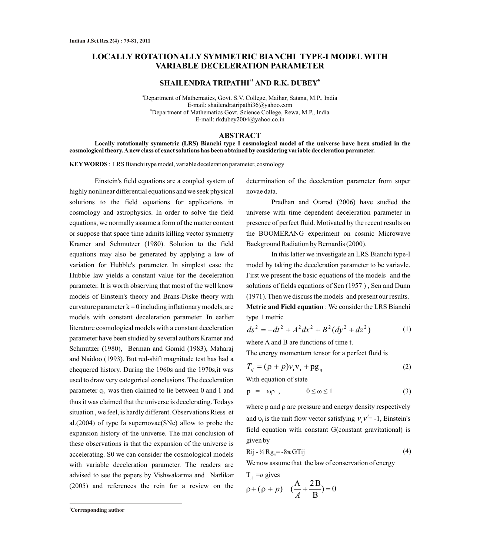# **LOCALLY ROTATIONALLY SYMMETRIC BIANCHI TYPE-I MODEL WITH VARIABLE DECELERATION PARAMETER**

# $\mathbf{SHAILENDRA}\mathbf{\,TRIPATHl}^{a1}\mathbf{\,AND}\mathbf{\,R.K.}\mathbf{\,DUBEV}^{b1}$

<sup>a</sup>Department of Mathematics, Govt. S.V. College, Maihar, Satana, M.P., India E-mail: shailendratripathi36@yahoo.com <sup>b</sup>Department of Mathematics Govt. Science College, Rewa, M.P., India E-mail: rkdubey2004@yahoo.co.in

#### **ABSTRACT**

**Locally rotationally symmetric (LRS) Bianchi type I cosmological model of the universe have been studied in the cosmological theory. Anew class of exact solutions has been obtained by considering variable deceleration parameter.** 

**KEYWORDS** : LRS Bianchi type model, variable deceleration parameter, cosmology

Einstein's field equations are a coupled system of highly nonlinear differential equations and we seek physical solutions to the field equations for applications in cosmology and astrophysics. In order to solve the field equations, we normally assume a form of the matter content or suppose that space time admits killing vector symmetry Kramer and Schmutzer (1980). Solution to the field equations may also be generated by applying a law of variation for Hubble's parameter. In simplest case the Hubble law yields a constant value for the deceleration parameter. It is worth observing that most of the well know models of Einstein's theory and Brans-Diske theory with curvature parameter  $k = 0$  including inflationary models, are models with constant deceleration parameter. In earlier literature cosmological models with a constant deceleration parameter have been studied by several authors Kramer and Schmutzer (1980), Berman and Gomid (1983), Maharaj and Naidoo (1993). But red-shift magnitude test has had a chequered history. During the 1960s and the 1970s,it was used to draw very categorical conclusions. The deceleration parameter  $q_0$  was then claimed to lie between 0 and 1 and thus it was claimed that the universe is decelerating. Todays situation , we feel, is hardly different. Observations Riess et al.(2004) of type Ia supernovae(SNe) allow to probe the expansion history of the universe. The mai conclusion of these observations is that the expansion of the universe is accelerating. S0 we can consider the cosmological models with variable deceleration parameter. The readers are advised to see the papers by Vishwakarma and Narlikar (2005) and references the rein for a review on the

determination of the deceleration parameter from super novae data.

Pradhan and Otarod (2006) have studied the universe with time dependent deceleration parameter in presence of perfect fluid. Motivated by the recent results on the BOOMERANG experiment on cosmic Microwave Background Radiation by Bernardis (2000).

In this latter we investigate an LRS Bianchi type-I model by taking the deceleration parameter to be variavle. First we present the basic equations of the models and the solutions of fields equations of Sen (1957 ) , Sen and Dunn (1971). Then we discuss the models and present our results. **Metric and Field equation** : We consider the LRS Bianchi type 1 metric

$$
ds^{2} = -dt^{2} + A^{2}dx^{2} + B^{2}(dy^{2} + dz^{2})
$$
 (1)

where A and B are functions of time t.

The energy momentum tensor for a perfect fluid is

$$
T_{ij} = (\rho + p)v_i v_i + pg_{ij}
$$
 (2)

With equation of state

$$
p = \omega p , \qquad \qquad 0 \le \omega \le 1 \tag{3}
$$

where  $p$  and  $p$  are pressure and energy density respectively and  $v_i$  is the unit flow vector satisfying  $v_i v^i = -1$ , Einstein's field equation with constant G(constant gravitational) is given by  $v_i v_j$ 

$$
Rij - \frac{1}{2}Rg_{ij} = -8\pi GTij
$$
 (4)

We now assume that the law of conservation of energy

T<sub>ij</sub> =o gives  
\n
$$
\rho + (\rho + p) \quad (\frac{A}{A} + \frac{2B}{B}) = 0
$$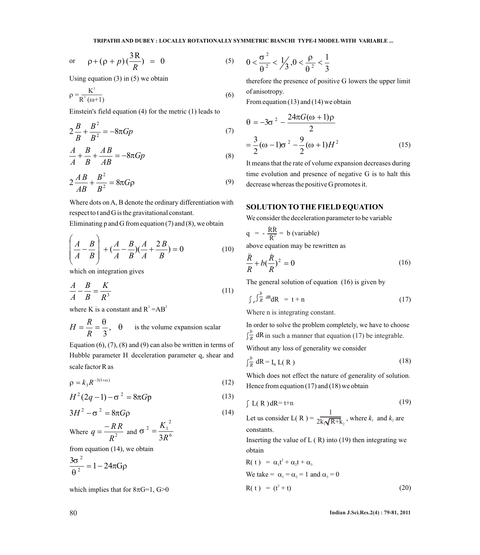$$
\text{or} \qquad \rho + (\rho + p) \left( \frac{3R}{R} \right) = 0 \tag{5}
$$

Using equation  $(3)$  in  $(5)$  we obtain

$$
\rho = \frac{K^3}{R^3 (\omega + 1)}
$$
\n(6) of anisotropy.  
\nFrom equation (13) and (14) we obtain

Einstein's field equation (4) for the metric (1) leads to

$$
2\frac{B}{B} + \frac{B^2}{B^2} = -8\pi G p \tag{7}
$$

$$
\frac{A}{A} + \frac{B}{B} + \frac{AB}{AB} = -8\pi Gp\tag{8}
$$

$$
2\frac{AB}{AB} + \frac{B^2}{B^2} = 8\pi G\rho
$$
\n(9)

Where dots on A, B denote the ordinary differentiation with respect to t and G is the gravitational constant.

Eliminating p and G from equation  $(7)$  and  $(8)$ , we obtain

$$
\left(\frac{A}{A} - \frac{B}{B}\right) + \left(\frac{A}{A} - \frac{B}{B}\right)\left(\frac{A}{A} + \frac{2B}{B}\right) = 0
$$
 (10)

which on integration gives

$$
\frac{A}{A} - \frac{B}{B} = \frac{K}{R^3} \tag{11}
$$

where K is a constant and  $R^3 = AB^2$ 

$$
H = \frac{R}{R} = \frac{\theta}{3}, \quad \theta
$$
 is the volume expansion scalar

Equation  $(6)$ ,  $(7)$ ,  $(8)$  and  $(9)$  can also be written in terms of Hubble parameter H deceleration parameter q, shear and scale factor R as

$$
\rho = k_3 R^{-3(1+\omega)} \tag{12}
$$

$$
H^{2}(2q-1) - \sigma^{2} = 8\pi Gp
$$
 (13)

$$
3H^{2} - \sigma^{2} = 8\pi G\rho
$$
\n
$$
-RR = -2 \left(K_{1}^{2}\right)
$$
\n(14)

Where 
$$
q = \frac{-RR}{R^2}
$$
 and  $\sigma^2 = \frac{K_1^2}{3R^6}$ 

from equation (14), we obtain

$$
\frac{3\sigma^2}{\theta^2} = 1 - 24\pi G\rho
$$

which implies that for  $8\pi G=1$ ,  $G>0$ 

$$
0 < \frac{\sigma^2}{\theta^2} < \frac{1}{3}, 0 < \frac{\rho}{\theta^2} < \frac{1}{3}
$$

therefore the presence of positive G lowers the upper limit of anisotropy.

From equation (13) and (14) we obtain

$$
\theta = -3\sigma^2 - \frac{24\pi G(\omega + 1)\rho}{2}
$$
  
=  $\frac{3}{2}(\omega - 1)\sigma^2 - \frac{9}{2}(\omega + 1)H^2$  (15)

 time evolution and presence of negative G is to halt this It means that the rate of volume expansion decreases during decrease whereas the positive G promotes it.

#### **SOLUTION TO THE FIELD EQUATION**

We consider the deceleration parameter to be variable

$$
q = -\frac{\dot{R}\dot{R}}{\dot{R}^2} = b \text{ (variable)}
$$

above equation may be rewritten as

$$
\frac{\ddot{R}}{R} + b\left(\frac{\dot{R}}{R}\right)^2 = 0\tag{16}
$$

The general solution of equation (16) is given by

$$
\int_{e} \int_{R}^{b} dR dR = t + n \tag{17}
$$

Where n is integrating constant.

In order to solve the problem completely, we have to choose  $\int_{\overline{R}}^{b} dR$  in such a manner that equation (17) be integrable.

Without any loss of generality we consider

$$
\int_{\overline{R}}^{b} dR = I_n L(R)
$$
 (18)

Which does not effect the nature of generality of solution. Hence from equation (17) and (18) we obtain

$$
\int L(R) dR = t+n \tag{19}
$$

Let us consider  $L(R) =$ 1  $2\overline{k_1\sqrt{R+k_2}}$ , where  $k_1$  and  $k_2$  are constants.

Inserting the value of  $L(R)$  into (19) then integrating we obtain

$$
R(t) = \alpha_1 t^2 + \alpha_2 t + \alpha_3
$$
  
\n
$$
We take = \alpha_1 = \alpha_2 = 1 \text{ and } \alpha_3 = 0
$$
  
\n
$$
R(t) = (t^2 + t)
$$
\n(20)